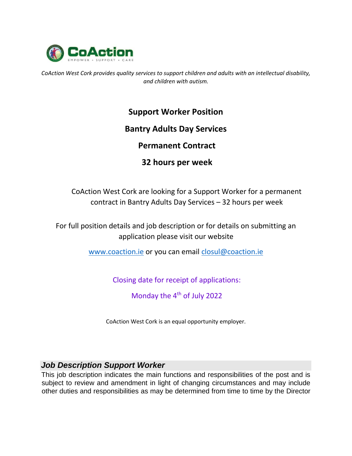

*CoAction West Cork provides quality services to support children and adults with an intellectual disability, and children with autism.* 

## **Support Worker Position**

## **Bantry Adults Day Services**

## **Permanent Contract**

# **32 hours per week**

CoAction West Cork are looking for a Support Worker for a permanent contract in Bantry Adults Day Services – 32 hours per week

For full position details and job description or for details on submitting an application please visit our website

[www.coaction.ie](http://www.coaction.ie/) [o](http://www.coaction.ie/)r you can email closul@coaction.ie

Closing date for receipt of applications:

Monday the 4<sup>th</sup> of July 2022

CoAction West Cork is an equal opportunity employer.

## *Job Description Support Worker*

This job description indicates the main functions and responsibilities of the post and is subject to review and amendment in light of changing circumstances and may include other duties and responsibilities as may be determined from time to time by the Director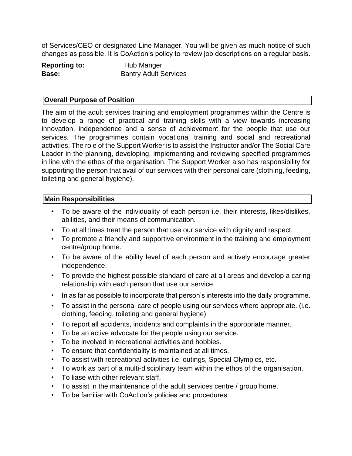of Services/CEO or designated Line Manager. You will be given as much notice of such changes as possible. It is CoAction's policy to review job descriptions on a regular basis.

| <b>Reporting to:</b> | Hub Manger                   |
|----------------------|------------------------------|
| Base:                | <b>Bantry Adult Services</b> |

#### **Overall Purpose of Position**

The aim of the adult services training and employment programmes within the Centre is to develop a range of practical and training skills with a view towards increasing innovation, independence and a sense of achievement for the people that use our services. The programmes contain vocational training and social and recreational activities. The role of the Support Worker is to assist the Instructor and/or The Social Care Leader in the planning, developing, implementing and reviewing specified programmes in line with the ethos of the organisation. The Support Worker also has responsibility for supporting the person that avail of our services with their personal care (clothing, feeding, toileting and general hygiene).

#### **Main Responsibilities**

- To be aware of the individuality of each person i.e. their interests, likes/dislikes, abilities, and their means of communication.
- To at all times treat the person that use our service with dignity and respect.
- To promote a friendly and supportive environment in the training and employment centre/group home.
- To be aware of the ability level of each person and actively encourage greater independence.
- To provide the highest possible standard of care at all areas and develop a caring relationship with each person that use our service.
- In as far as possible to incorporate that person's interests into the daily programme.
- To assist in the personal care of people using our services where appropriate. (i.e. clothing, feeding, toileting and general hygiene)
- To report all accidents, incidents and complaints in the appropriate manner.
- To be an active advocate for the people using our service.
- To be involved in recreational activities and hobbies.
- To ensure that confidentiality is maintained at all times.
- To assist with recreational activities i.e. outings, Special Olympics, etc.
- To work as part of a multi-disciplinary team within the ethos of the organisation.
- To liase with other relevant staff.
- To assist in the maintenance of the adult services centre / group home.
- To be familiar with CoAction's policies and procedures.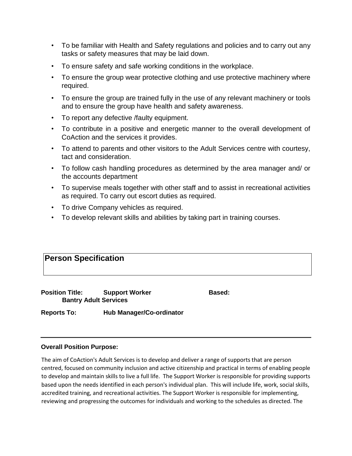- To be familiar with Health and Safety regulations and policies and to carry out any tasks or safety measures that may be laid down.
- To ensure safety and safe working conditions in the workplace.
- To ensure the group wear protective clothing and use protective machinery where required.
- To ensure the group are trained fully in the use of any relevant machinery or tools and to ensure the group have health and safety awareness.
- To report any defective /faulty equipment.
- To contribute in a positive and energetic manner to the overall development of CoAction and the services it provides.
- To attend to parents and other visitors to the Adult Services centre with courtesy, tact and consideration.
- To follow cash handling procedures as determined by the area manager and/ or the accounts department
- To supervise meals together with other staff and to assist in recreational activities as required. To carry out escort duties as required.
- To drive Company vehicles as required.
- To develop relevant skills and abilities by taking part in training courses.

## **Person Specification**

**Position Title:** Support Worker **Based:** Based: **Bantry Adult Services** 

**Reports To: Hub Manager/Co-ordinator** 

#### **Overall Position Purpose:**

The aim of CoAction's Adult Services is to develop and deliver a range of supports that are person centred, focused on community inclusion and active citizenship and practical in terms of enabling people to develop and maintain skills to live a full life. The Support Worker is responsible for providing supports based upon the needs identified in each person's individual plan. This will include life, work, social skills, accredited training, and recreational activities. The Support Worker is responsible for implementing, reviewing and progressing the outcomes for individuals and working to the schedules as directed. The